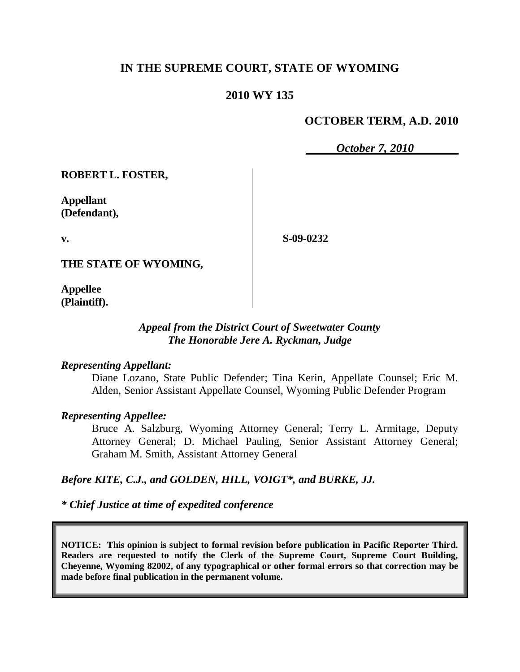# **IN THE SUPREME COURT, STATE OF WYOMING**

## **2010 WY 135**

## **OCTOBER TERM, A.D. 2010**

*October 7, 2010*

**ROBERT L. FOSTER,**

**Appellant (Defendant),**

**v.**

**S-09-0232**

**THE STATE OF WYOMING,**

**Appellee (Plaintiff).**

### *Appeal from the District Court of Sweetwater County The Honorable Jere A. Ryckman, Judge*

### *Representing Appellant:*

Diane Lozano, State Public Defender; Tina Kerin, Appellate Counsel; Eric M. Alden, Senior Assistant Appellate Counsel, Wyoming Public Defender Program

### *Representing Appellee:*

Bruce A. Salzburg, Wyoming Attorney General; Terry L. Armitage, Deputy Attorney General; D. Michael Pauling, Senior Assistant Attorney General; Graham M. Smith, Assistant Attorney General

### *Before KITE, C.J., and GOLDEN, HILL, VOIGT\*, and BURKE, JJ.*

*\* Chief Justice at time of expedited conference*

**NOTICE: This opinion is subject to formal revision before publication in Pacific Reporter Third. Readers are requested to notify the Clerk of the Supreme Court, Supreme Court Building, Cheyenne, Wyoming 82002, of any typographical or other formal errors so that correction may be made before final publication in the permanent volume.**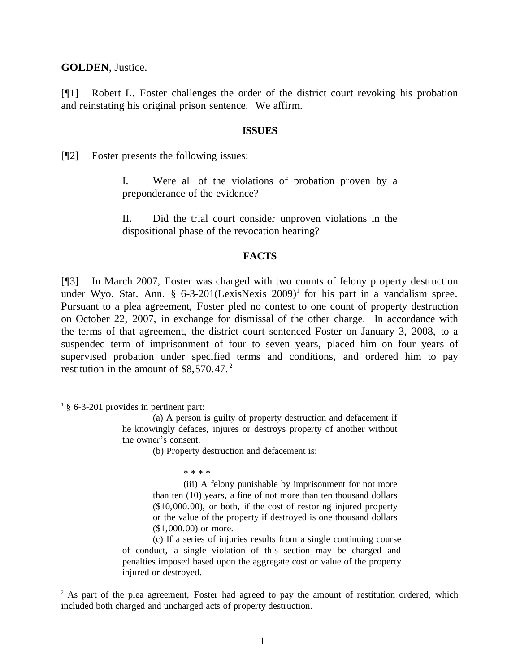**GOLDEN**, Justice.

[¶1] Robert L. Foster challenges the order of the district court revoking his probation and reinstating his original prison sentence. We affirm.

#### **ISSUES**

[¶2] Foster presents the following issues:

I. Were all of the violations of probation proven by a preponderance of the evidence?

II. Did the trial court consider unproven violations in the dispositional phase of the revocation hearing?

#### **FACTS**

[¶3] In March 2007, Foster was charged with two counts of felony property destruction under Wyo. Stat. Ann.  $\S$  6-3-201(LexisNexis 2009)<sup>1</sup> for his part in a vandalism spree. Pursuant to a plea agreement, Foster pled no contest to one count of property destruction on October 22, 2007, in exchange for dismissal of the other charge. In accordance with the terms of that agreement, the district court sentenced Foster on January 3, 2008, to a suspended term of imprisonment of four to seven years, placed him on four years of supervised probation under specified terms and conditions, and ordered him to pay restitution in the amount of  $$8,570.47.^2$ 

 $\overline{a}$ 

\* \* \* \*

(iii) A felony punishable by imprisonment for not more than ten (10) years, a fine of not more than ten thousand dollars (\$10,000.00), or both, if the cost of restoring injured property or the value of the property if destroyed is one thousand dollars (\$1,000.00) or more.

(c) If a series of injuries results from a single continuing course of conduct, a single violation of this section may be charged and penalties imposed based upon the aggregate cost or value of the property injured or destroyed.

<sup>2</sup> As part of the plea agreement, Foster had agreed to pay the amount of restitution ordered, which included both charged and uncharged acts of property destruction.

 $1 \text{ } 8$  6-3-201 provides in pertinent part:

<sup>(</sup>a) A person is guilty of property destruction and defacement if he knowingly defaces, injures or destroys property of another without the owner's consent.

<sup>(</sup>b) Property destruction and defacement is: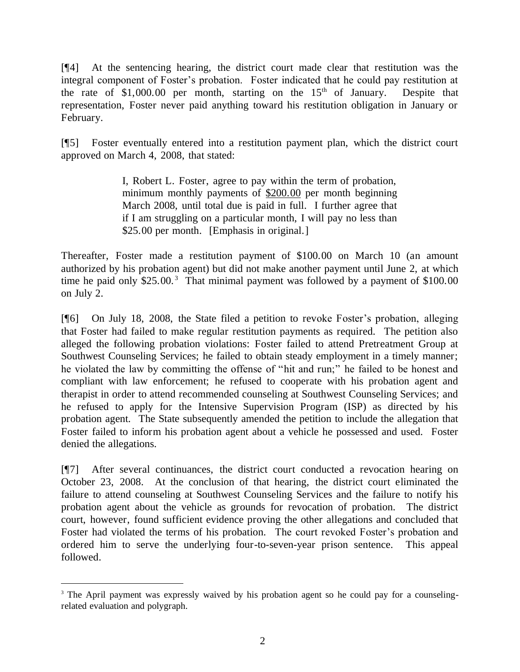[¶4] At the sentencing hearing, the district court made clear that restitution was the integral component of Foster's probation. Foster indicated that he could pay restitution at the rate of  $$1,000.00$  per month, starting on the  $15<sup>th</sup>$  of January. Despite that representation, Foster never paid anything toward his restitution obligation in January or February.

[¶5] Foster eventually entered into a restitution payment plan, which the district court approved on March 4, 2008, that stated:

> I, Robert L. Foster, agree to pay within the term of probation, minimum monthly payments of \$200.00 per month beginning March 2008, until total due is paid in full. I further agree that if I am struggling on a particular month, I will pay no less than \$25.00 per month. [Emphasis in original.]

Thereafter, Foster made a restitution payment of \$100.00 on March 10 (an amount authorized by his probation agent) but did not make another payment until June 2, at which time he paid only  $$25.00$ .<sup>3</sup> That minimal payment was followed by a payment of  $$100.00$ on July 2.

[¶6] On July 18, 2008, the State filed a petition to revoke Foster's probation, alleging that Foster had failed to make regular restitution payments as required. The petition also alleged the following probation violations: Foster failed to attend Pretreatment Group at Southwest Counseling Services; he failed to obtain steady employment in a timely manner; he violated the law by committing the offense of "hit and run;" he failed to be honest and compliant with law enforcement; he refused to cooperate with his probation agent and therapist in order to attend recommended counseling at Southwest Counseling Services; and he refused to apply for the Intensive Supervision Program (ISP) as directed by his probation agent. The State subsequently amended the petition to include the allegation that Foster failed to inform his probation agent about a vehicle he possessed and used. Foster denied the allegations.

[¶7] After several continuances, the district court conducted a revocation hearing on October 23, 2008. At the conclusion of that hearing, the district court eliminated the failure to attend counseling at Southwest Counseling Services and the failure to notify his probation agent about the vehicle as grounds for revocation of probation. The district court, however, found sufficient evidence proving the other allegations and concluded that Foster had violated the terms of his probation. The court revoked Foster's probation and ordered him to serve the underlying four-to-seven-year prison sentence. This appeal followed.

 $\overline{a}$ 

<sup>&</sup>lt;sup>3</sup> The April payment was expressly waived by his probation agent so he could pay for a counselingrelated evaluation and polygraph.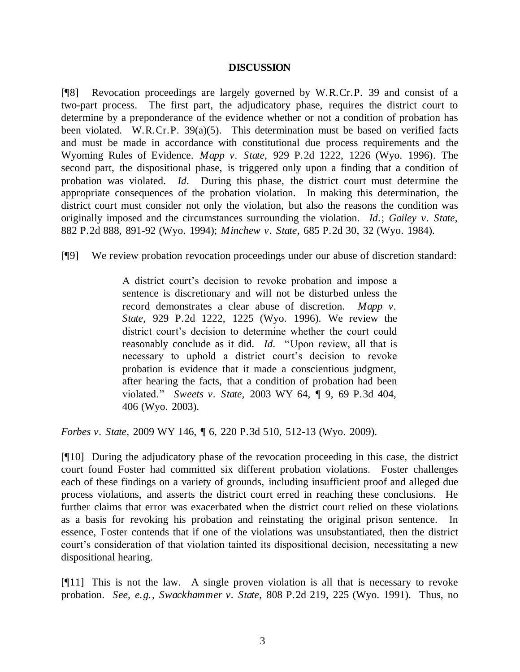### **DISCUSSION**

[¶8] Revocation proceedings are largely governed by W.R.Cr.P. 39 and consist of a two-part process. The first part, the adjudicatory phase, requires the district court to determine by a preponderance of the evidence whether or not a condition of probation has been violated. W.R.Cr.P. 39(a)(5). This determination must be based on verified facts and must be made in accordance with constitutional due process requirements and the Wyoming Rules of Evidence. *Mapp v. State*, 929 P.2d 1222, 1226 (Wyo. 1996). The second part, the dispositional phase, is triggered only upon a finding that a condition of probation was violated. *Id*. During this phase, the district court must determine the appropriate consequences of the probation violation. In making this determination, the district court must consider not only the violation, but also the reasons the condition was originally imposed and the circumstances surrounding the violation. *Id*.; *Gailey v. State*, 882 P.2d 888, 891-92 (Wyo. 1994); *Minchew v. State*, 685 P.2d 30, 32 (Wyo. 1984).

[¶9] We review probation revocation proceedings under our abuse of discretion standard:

A district court's decision to revoke probation and impose a sentence is discretionary and will not be disturbed unless the record demonstrates a clear abuse of discretion. *Mapp v. State,* 929 P.2d 1222, 1225 (Wyo. 1996). We review the district court's decision to determine whether the court could reasonably conclude as it did. *Id*. "Upon review, all that is necessary to uphold a district court's decision to revoke probation is evidence that it made a conscientious judgment, after hearing the facts, that a condition of probation had been violated." *Sweets v. State,* 2003 WY 64, ¶ 9, 69 P.3d 404, 406 (Wyo. 2003).

*Forbes v. State*, 2009 WY 146, ¶ 6, 220 P.3d 510, 512-13 (Wyo. 2009).

[¶10] During the adjudicatory phase of the revocation proceeding in this case, the district court found Foster had committed six different probation violations. Foster challenges each of these findings on a variety of grounds, including insufficient proof and alleged due process violations, and asserts the district court erred in reaching these conclusions. He further claims that error was exacerbated when the district court relied on these violations as a basis for revoking his probation and reinstating the original prison sentence. In essence, Foster contends that if one of the violations was unsubstantiated, then the district court's consideration of that violation tainted its dispositional decision, necessitating a new dispositional hearing.

[¶11] This is not the law. A single proven violation is all that is necessary to revoke probation. *See, e.g., Swackhammer v. State*, 808 P.2d 219, 225 (Wyo. 1991). Thus, no